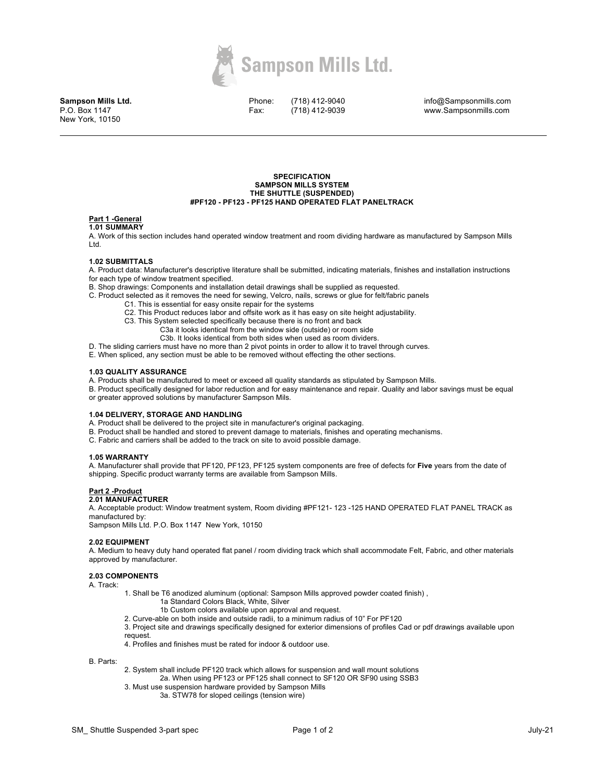

**Sampson Mills Ltd.** P.O. Box 1147 New York, 10150

Phone: Fax:

(718) 412-9040 (718) 412-9039 info@Sampsonmills.com www.Sampsonmills.com

### **SPECIFICATION SAMPSON MILLS SYSTEM THE SHUTTLE (SUSPENDED) #PF120 - PF123 - PF125 HAND OPERATED FLAT PANELTRACK**

## **Part 1 -General**

## **1.01 SUMMARY**

A. Work of this section includes hand operated window treatment and room dividing hardware as manufactured by Sampson Mills Ltd.

## **1.02 SUBMITTALS**

A. Product data: Manufacturer's descriptive literature shall be submitted, indicating materials, finishes and installation instructions for each type of window treatment specified.

- B. Shop drawings: Components and installation detail drawings shall be supplied as requested.
- C. Product selected as it removes the need for sewing, Velcro, nails, screws or glue for felt/fabric panels
	- C1. This is essential for easy onsite repair for the systems
	- C2. This Product reduces labor and offsite work as it has easy on site height adjustability.
	- C3. This System selected specifically because there is no front and back
		- C3a it looks identical from the window side (outside) or room side
		- C3b. It looks identical from both sides when used as room dividers.

D. The sliding carriers must have no more than 2 pivot points in order to allow it to travel through curves.

E. When spliced, any section must be able to be removed without effecting the other sections.

### **1.03 QUALITY ASSURANCE**

A. Products shall be manufactured to meet or exceed all quality standards as stipulated by Sampson Mills.

B. Product specifically designed for labor reduction and for easy maintenance and repair. Quality and labor savings must be equal or greater approved solutions by manufacturer Sampson Mils.

#### **1.04 DELIVERY, STORAGE AND HANDLING**

A. Product shall be delivered to the project site in manufacturer's original packaging.

- B. Product shall be handled and stored to prevent damage to materials, finishes and operating mechanisms.
- C. Fabric and carriers shall be added to the track on site to avoid possible damage.

#### **1.05 WARRANTY**

A. Manufacturer shall provide that PF120, PF123, PF125 system components are free of defects for **Five** years from the date of shipping. Specific product warranty terms are available from Sampson Mills.

#### **Part 2 -Product 2.01 MANUFACTURER**

A. Acceptable product: Window treatment system, Room dividing #PF121- 123 -125 HAND OPERATED FLAT PANEL TRACK as manufactured by:

Sampson Mills Ltd. P.O. Box 1147 New York, 10150

### **2.02 EQUIPMENT**

A. Medium to heavy duty hand operated flat panel / room dividing track which shall accommodate Felt, Fabric, and other materials approved by manufacturer.

### **2.03 COMPONENTS**

A. Track:

- 1. Shall be T6 anodized aluminum (optional: Sampson Mills approved powder coated finish) ,
	- 1a Standard Colors Black, White, Silver
	- 1b Custom colors available upon approval and request.
- 2. Curve-able on both inside and outside radii, to a minimum radius of 10" For PF120
- 3. Project site and drawings specifically designed for exterior dimensions of profiles Cad or pdf drawings available upon request.
- 4. Profiles and finishes must be rated for indoor & outdoor use.

B. Parts:

- 2. System shall include PF120 track which allows for suspension and wall mount solutions 2a. When using PF123 or PF125 shall connect to SF120 OR SF90 using SSB3
- 3. Must use suspension hardware provided by Sampson Mills
	- 3a. STW78 for sloped ceilings (tension wire)